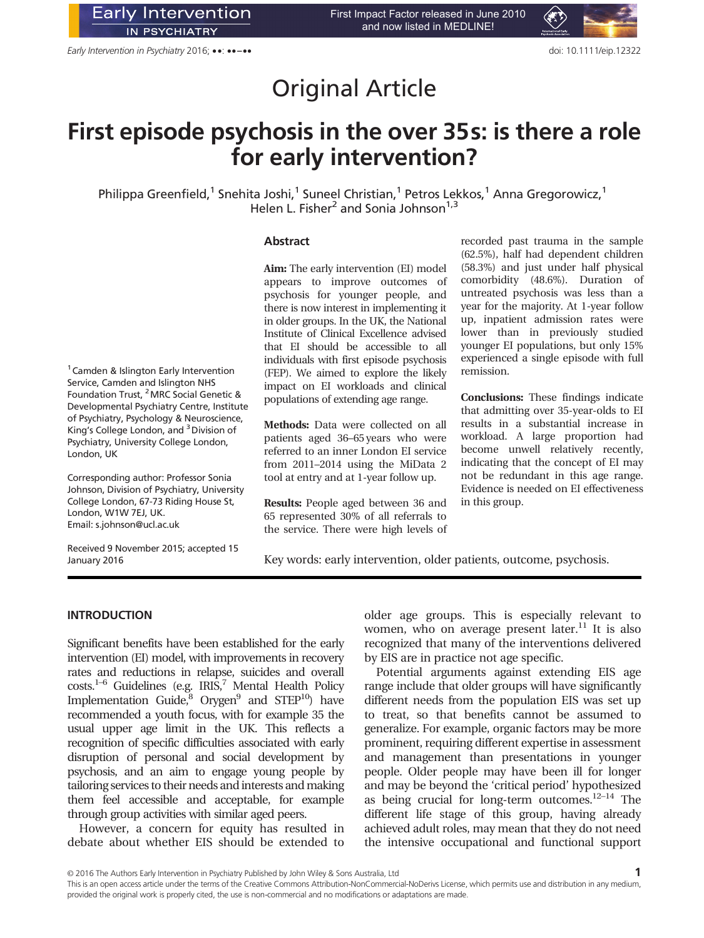# **Early Intervention IN PSYCHIATRY**



# Original Article

# First episode psychosis in the over 35s: is there a role for early intervention?

Philippa Greenfield,<sup>1</sup> Snehita Joshi,<sup>1</sup> Suneel Christian,<sup>1</sup> Petros Lekkos,<sup>1</sup> Anna Gregorowicz,<sup>1</sup> Helen L. Fisher<sup>2</sup> and Sonia Johnson<sup>1,3</sup>

#### **Abstract**

Aim: The early intervention (EI) model appears to improve outcomes of psychosis for younger people, and there is now interest in implementing it in older groups. In the UK, the National Institute of Clinical Excellence advised that EI should be accessible to all individuals with first episode psychosis (FEP). We aimed to explore the likely impact on EI workloads and clinical populations of extending age range.

Methods: Data were collected on all patients aged 36–65 years who were referred to an inner London EI service from 2011–2014 using the MiData 2 tool at entry and at 1-year follow up.

Results: People aged between 36 and 65 represented 30% of all referrals to the service. There were high levels of recorded past trauma in the sample (62.5%), half had dependent children (58.3%) and just under half physical comorbidity (48.6%). Duration of untreated psychosis was less than a year for the majority. At 1-year follow up, inpatient admission rates were lower than in previously studied younger EI populations, but only 15% experienced a single episode with full remission.

Conclusions: These findings indicate that admitting over 35-year-olds to EI results in a substantial increase in workload. A large proportion had become unwell relatively recently, indicating that the concept of EI may not be redundant in this age range. Evidence is needed on EI effectiveness in this group.

Key words: early intervention, older patients, outcome, psychosis.

#### INTRODUCTION

Significant benefits have been established for the early intervention (EI) model, with improvements in recovery rates and reductions in relapse, suicides and overall  $costs.<sup>1–6</sup>$  Guidelines (e.g. IRIS,<sup>7</sup> Mental Health Policy Implementation Guide,<sup>8</sup> Orygen<sup>9</sup> and STEP<sup>10</sup>) have recommended a youth focus, with for example 35 the usual upper age limit in the UK. This reflects a recognition of specific difficulties associated with early disruption of personal and social development by psychosis, and an aim to engage young people by tailoring services to their needs and interests and making them feel accessible and acceptable, for example through group activities with similar aged peers.

However, a concern for equity has resulted in debate about whether EIS should be extended to

older age groups. This is especially relevant to women, who on average present later.<sup>11</sup> It is also recognized that many of the interventions delivered by EIS are in practice not age specific.

Potential arguments against extending EIS age range include that older groups will have significantly different needs from the population EIS was set up to treat, so that benefits cannot be assumed to generalize. For example, organic factors may be more prominent, requiring different expertise in assessment and management than presentations in younger people. Older people may have been ill for longer and may be beyond the 'critical period' hypothesized as being crucial for long-term outcomes. $12-14$  The different life stage of this group, having already achieved adult roles, may mean that they do not need the intensive occupational and functional support

Service, Camden and Islington NHS Foundation Trust, 2MRC Social Genetic & Developmental Psychiatry Centre, Institute of Psychiatry, Psychology & Neuroscience, King's College London, and 3Division of Psychiatry, University College London, London, UK

<sup>1</sup> Camden & Islington Early Intervention

Corresponding author: Professor Sonia Johnson, Division of Psychiatry, University College London, 67-73 Riding House St, London, W1W 7EJ, UK. Email: s.johnson@ucl.ac.uk

Received 9 November 2015; accepted 15 January 2016

This is an open access article under the terms of the [Creative Commons Attribution-NonCommercial-NoDerivs](http://creativecommons.org/licenses/by-nc-nd/4.0/) License, which permits use and distribution in any medium, provided the original work is properly cited, the use is non-commercial and no modifications or adaptations are made.

<sup>©</sup> 2016 The Authors Early Intervention in Psychiatry Published by John Wiley & Sons Australia, Ltd 1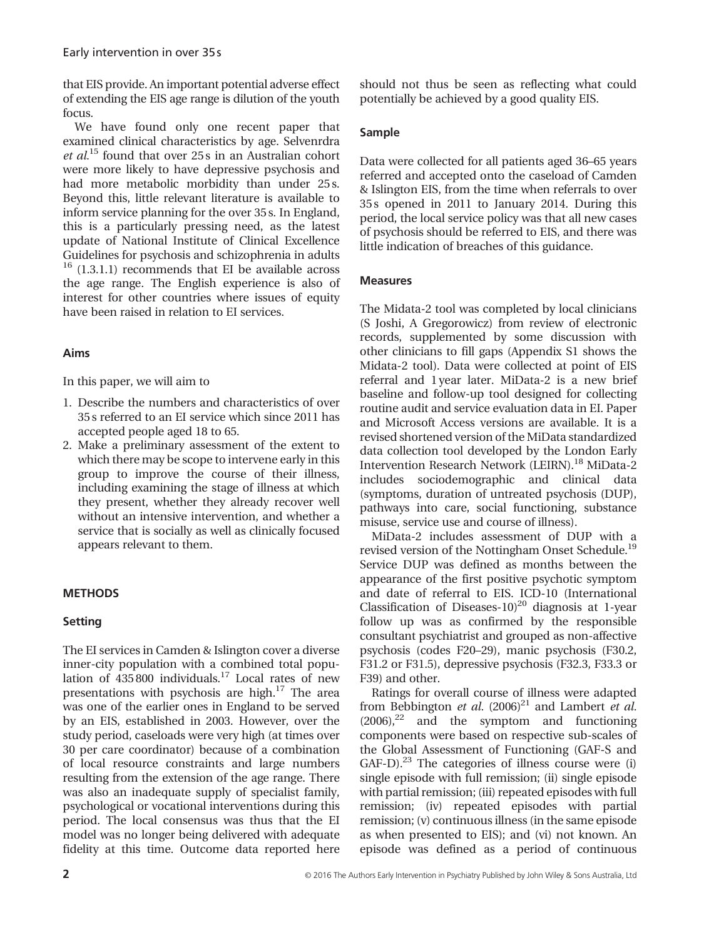that EIS provide. An important potential adverse effect of extending the EIS age range is dilution of the youth focus.

We have found only one recent paper that examined clinical characteristics by age. Selvenrdra et  $al$ <sup>15</sup> found that over 25s in an Australian cohort were more likely to have depressive psychosis and had more metabolic morbidity than under 25 s. Beyond this, little relevant literature is available to inform service planning for the over 35 s. In England, this is a particularly pressing need, as the latest update of National Institute of Clinical Excellence Guidelines for psychosis and schizophrenia in adults <sup>16</sup> (1.3.1.1) recommends that EI be available across the age range. The English experience is also of interest for other countries where issues of equity have been raised in relation to EI services.

## Aims

In this paper, we will aim to

- 1. Describe the numbers and characteristics of over 35 s referred to an EI service which since 2011 has accepted people aged 18 to 65.
- 2. Make a preliminary assessment of the extent to which there may be scope to intervene early in this group to improve the course of their illness, including examining the stage of illness at which they present, whether they already recover well without an intensive intervention, and whether a service that is socially as well as clinically focused appears relevant to them.

# **METHODS**

## **Setting**

The EI services in Camden & Islington cover a diverse inner-city population with a combined total population of  $435800$  individuals.<sup>17</sup> Local rates of new presentations with psychosis are high. $17$  The area was one of the earlier ones in England to be served by an EIS, established in 2003. However, over the study period, caseloads were very high (at times over 30 per care coordinator) because of a combination of local resource constraints and large numbers resulting from the extension of the age range. There was also an inadequate supply of specialist family, psychological or vocational interventions during this period. The local consensus was thus that the EI model was no longer being delivered with adequate fidelity at this time. Outcome data reported here

should not thus be seen as reflecting what could potentially be achieved by a good quality EIS.

## Sample

Data were collected for all patients aged 36–65 years referred and accepted onto the caseload of Camden & Islington EIS, from the time when referrals to over 35 s opened in 2011 to January 2014. During this period, the local service policy was that all new cases of psychosis should be referred to EIS, and there was little indication of breaches of this guidance.

## **Measures**

The Midata-2 tool was completed by local clinicians (S Joshi, A Gregorowicz) from review of electronic records, supplemented by some discussion with other clinicians to fill gaps (Appendix S1 shows the Midata-2 tool). Data were collected at point of EIS referral and 1 year later. MiData-2 is a new brief baseline and follow-up tool designed for collecting routine audit and service evaluation data in EI. Paper and Microsoft Access versions are available. It is a revised shortened version of the MiData standardized data collection tool developed by the London Early Intervention Research Network (LEIRN).<sup>18</sup> MiData-2 includes sociodemographic and clinical data (symptoms, duration of untreated psychosis (DUP), pathways into care, social functioning, substance misuse, service use and course of illness).

MiData-2 includes assessment of DUP with a revised version of the Nottingham Onset Schedule.<sup>19</sup> Service DUP was defined as months between the appearance of the first positive psychotic symptom and date of referral to EIS. ICD-10 (International Classification of Diseases-10)<sup>20</sup> diagnosis at 1-year follow up was as confirmed by the responsible consultant psychiatrist and grouped as non-affective psychosis (codes F20–29), manic psychosis (F30.2, F31.2 or F31.5), depressive psychosis (F32.3, F33.3 or F39) and other.

Ratings for overall course of illness were adapted from Bebbington *et al.*  $(2006)^{21}$  and Lambert *et al.*  $(2006)<sup>22</sup>$  and the symptom and functioning components were based on respective sub-scales of the Global Assessment of Functioning (GAF-S and  $GAF-D$ ).<sup>23</sup> The categories of illness course were (i) single episode with full remission; (ii) single episode with partial remission; (iii) repeated episodes with full remission; (iv) repeated episodes with partial remission; (v) continuous illness (in the same episode as when presented to EIS); and (vi) not known. An episode was defined as a period of continuous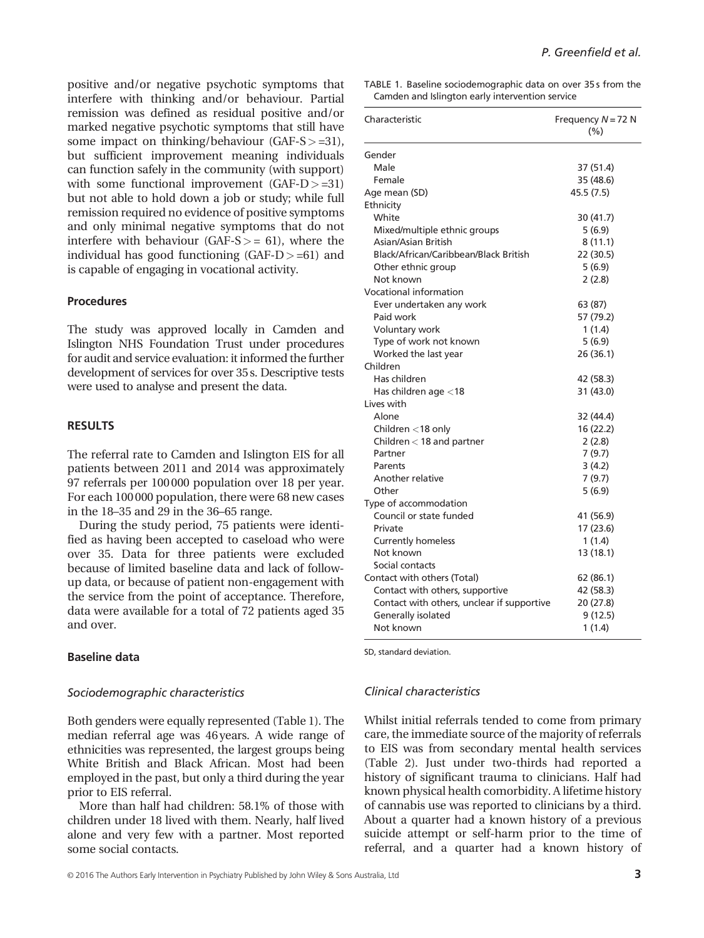positive and/or negative psychotic symptoms that interfere with thinking and/or behaviour. Partial remission was defined as residual positive and/or marked negative psychotic symptoms that still have some impact on thinking/behaviour (GAF-S > =31), but sufficient improvement meaning individuals can function safely in the community (with support) with some functional improvement  $(GAF-D) = 31$ ) but not able to hold down a job or study; while full remission required no evidence of positive symptoms and only minimal negative symptoms that do not interfere with behaviour (GAF-S $>$  = 61), where the individual has good functioning  $(GAF-D> = 61)$  and is capable of engaging in vocational activity.

### Procedures

The study was approved locally in Camden and Islington NHS Foundation Trust under procedures for audit and service evaluation: it informed the further development of services for over 35 s. Descriptive tests were used to analyse and present the data.

### RESULTS

The referral rate to Camden and Islington EIS for all patients between 2011 and 2014 was approximately 97 referrals per 100 000 population over 18 per year. For each 100 000 population, there were 68 new cases in the 18–35 and 29 in the 36–65 range.

During the study period, 75 patients were identified as having been accepted to caseload who were over 35. Data for three patients were excluded because of limited baseline data and lack of followup data, or because of patient non-engagement with the service from the point of acceptance. Therefore, data were available for a total of 72 patients aged 35 and over.

## Baseline data

#### Sociodemographic characteristics

Both genders were equally represented (Table 1). The median referral age was 46 years. A wide range of ethnicities was represented, the largest groups being White British and Black African. Most had been employed in the past, but only a third during the year prior to EIS referral.

More than half had children: 58.1% of those with children under 18 lived with them. Nearly, half lived alone and very few with a partner. Most reported some social contacts.

TABLE 1. Baseline sociodemographic data on over 35 s from the Camden and Islington early intervention service

| Characteristic                             | Frequency $N = 72$ N<br>(%) |
|--------------------------------------------|-----------------------------|
| Gender                                     |                             |
| Male                                       | 37 (51.4)                   |
| Female                                     | 35 (48.6)                   |
| Age mean (SD)                              | 45.5 (7.5)                  |
| Ethnicity                                  |                             |
| White                                      | 30 (41.7)                   |
| Mixed/multiple ethnic groups               | 5(6.9)                      |
| Asian/Asian British                        | 8(11.1)                     |
| Black/African/Caribbean/Black British      | 22 (30.5)                   |
| Other ethnic group                         | 5(6.9)                      |
| Not known                                  | 2 (2.8)                     |
| Vocational information                     |                             |
| Ever undertaken any work                   | 63 (87)                     |
| Paid work                                  | 57 (79.2)                   |
| Voluntary work                             | 1(1.4)                      |
| Type of work not known                     | 5(6.9)                      |
| Worked the last year                       | 26 (36.1)                   |
| Children                                   |                             |
| Has children                               | 42 (58.3)                   |
| Has children age <18                       | 31 (43.0)                   |
| Lives with                                 |                             |
| Alone                                      | 32 (44.4)                   |
| Children <18 only                          | 16 (22.2)                   |
| Children $<$ 18 and partner                | 2(2.8)                      |
| Partner                                    | 7(9.7)                      |
| Parents                                    | 3 (4.2)                     |
| Another relative                           | 7(9.7)                      |
| Other                                      | 5(6.9)                      |
| Type of accommodation                      |                             |
| Council or state funded                    | 41 (56.9)                   |
| Private                                    | 17 (23.6)                   |
| <b>Currently homeless</b>                  | 1(1.4)                      |
| Not known                                  | 13 (18.1)                   |
| Social contacts                            |                             |
| Contact with others (Total)                | 62 (86.1)                   |
| Contact with others, supportive            | 42 (58.3)                   |
| Contact with others, unclear if supportive | 20 (27.8)                   |
| Generally isolated                         | 9(12.5)                     |
| Not known                                  | 1(1.4)                      |

SD, standard deviation.

## Clinical characteristics

Whilst initial referrals tended to come from primary care, the immediate source of the majority of referrals to EIS was from secondary mental health services (Table 2). Just under two-thirds had reported a history of significant trauma to clinicians. Half had known physical health comorbidity. A lifetime history of cannabis use was reported to clinicians by a third. About a quarter had a known history of a previous suicide attempt or self-harm prior to the time of referral, and a quarter had a known history of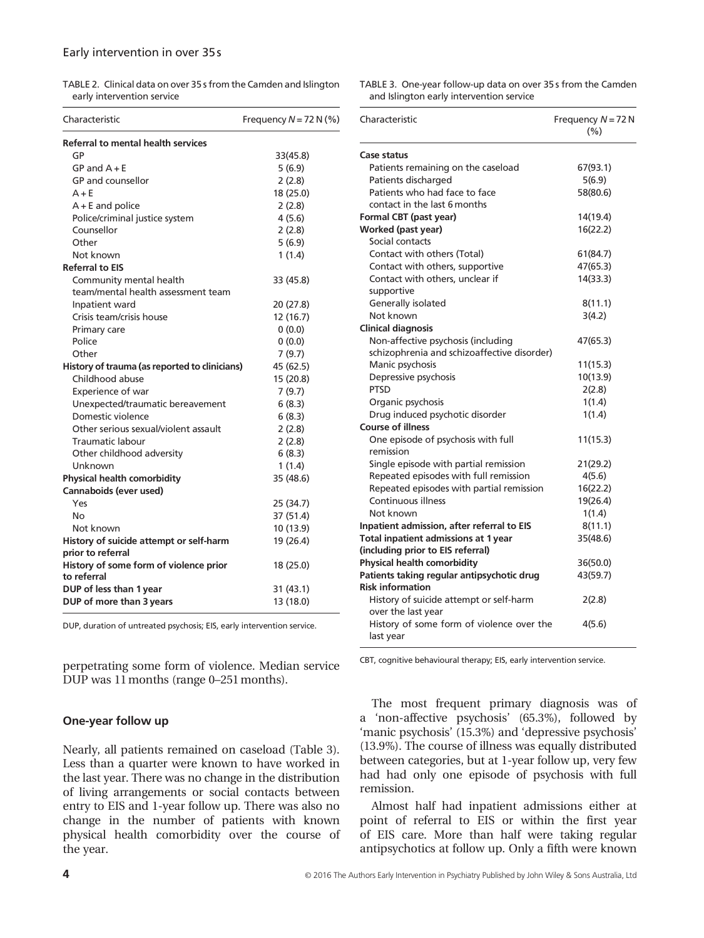| TABLE 2. Clinical data on over 35 s from the Camden and Islington |  |  |
|-------------------------------------------------------------------|--|--|
| early intervention service                                        |  |  |

TABLE 3. One-year follow-up data on over 35 s from the Camden and Islington early intervention service

Characteristic  $P = 72 N$ 

(%)

| Characteristic                                        | Frequency $N = 72 N$ (%) |
|-------------------------------------------------------|--------------------------|
| Referral to mental health services                    |                          |
| GP                                                    | 33(45.8)                 |
| $GP$ and $A + E$                                      | 5(6.9)                   |
| <b>GP</b> and counsellor                              | 2(2.8)                   |
| $A + E$                                               | 18 (25.0)                |
| $A + E$ and police                                    | 2(2.8)                   |
| Police/criminal justice system                        | 4(5.6)                   |
| Counsellor                                            | 2(2.8)                   |
| Other                                                 | 5(6.9)                   |
| Not known                                             | 1(1.4)                   |
| <b>Referral to EIS</b>                                |                          |
| Community mental health                               | 33 (45.8)                |
| team/mental health assessment team                    |                          |
| Inpatient ward                                        | 20 (27.8)                |
| Crisis team/crisis house                              | 12 (16.7)                |
| Primary care                                          | 0(0.0)                   |
| Police                                                | 0(0.0)                   |
| Other                                                 | 7(9.7)                   |
| History of trauma (as reported to clinicians)         | 45 (62.5)                |
| Childhood abuse                                       | 15 (20.8)                |
| Experience of war                                     | 7(9.7)                   |
| Unexpected/traumatic bereavement                      | 6(8.3)                   |
| Domestic violence                                     | 6(8.3)                   |
| Other serious sexual/violent assault                  | 2(2.8)                   |
| Traumatic labour                                      | 2(2.8)                   |
| Other childhood adversity                             | 6(8.3)                   |
| Unknown                                               | 1(1.4)                   |
| <b>Physical health comorbidity</b>                    | 35 (48.6)                |
| <b>Cannaboids (ever used)</b>                         |                          |
| Yes                                                   | 25 (34.7)                |
| N٥                                                    | 37 (51.4)                |
| Not known                                             | 10 (13.9)                |
| History of suicide attempt or self-harm               | 19 (26.4)                |
| prior to referral                                     |                          |
| History of some form of violence prior<br>to referral | 18 (25.0)                |
| DUP of less than 1 year                               | 31 (43.1)                |
| DUP of more than 3 years                              | 13 (18.0)                |

DUP, duration of untreated psychosis; EIS, early intervention service.

perpetrating some form of violence. Median service DUP was 11months (range 0–251months).

#### One-year follow up

Nearly, all patients remained on caseload (Table 3). Less than a quarter were known to have worked in the last year. There was no change in the distribution of living arrangements or social contacts between entry to EIS and 1-year follow up. There was also no change in the number of patients with known physical health comorbidity over the course of the year.

| r. |  |  |  |
|----|--|--|--|
| ۹  |  |  |  |
|    |  |  |  |

| Case status                                 |          |
|---------------------------------------------|----------|
| Patients remaining on the caseload          | 67(93.1) |
| Patients discharged                         | 5(6.9)   |
| Patients who had face to face               | 58(80.6) |
| contact in the last 6 months                |          |
| Formal CBT (past year)                      | 14(19.4) |
| <b>Worked (past year)</b>                   | 16(22.2) |
| Social contacts                             |          |
| Contact with others (Total)                 | 61(84.7) |
| Contact with others, supportive             | 47(65.3) |
| Contact with others, unclear if             | 14(33.3) |
| supportive                                  |          |
| Generally isolated                          | 8(11.1)  |
| Not known                                   | 3(4.2)   |
| <b>Clinical diagnosis</b>                   |          |
| Non-affective psychosis (including          | 47(65.3) |
| schizophrenia and schizoaffective disorder) |          |
| Manic psychosis                             | 11(15.3) |
| Depressive psychosis                        | 10(13.9) |
| <b>PTSD</b>                                 | 2(2.8)   |
| Organic psychosis                           | 1(1.4)   |
| Drug induced psychotic disorder             | 1(1.4)   |
| <b>Course of illness</b>                    |          |
| One episode of psychosis with full          | 11(15.3) |
| remission                                   |          |
| Single episode with partial remission       | 21(29.2) |
| Repeated episodes with full remission       | 4(5.6)   |
| Repeated episodes with partial remission    | 16(22.2) |
| Continuous illness                          | 19(26.4) |
| Not known                                   | 1(1.4)   |
| Inpatient admission, after referral to EIS  | 8(11.1)  |
| Total inpatient admissions at 1 year        | 35(48.6) |
| (including prior to EIS referral)           |          |
| <b>Physical health comorbidity</b>          | 36(50.0) |
| Patients taking regular antipsychotic drug  | 43(59.7) |
| <b>Risk information</b>                     |          |
| History of suicide attempt or self-harm     | 2(2.8)   |
| over the last year                          |          |
| History of some form of violence over the   | 4(5.6)   |
| last year                                   |          |
|                                             |          |

CBT, cognitive behavioural therapy; EIS, early intervention service.

The most frequent primary diagnosis was of a 'non-affective psychosis' (65.3%), followed by 'manic psychosis' (15.3%) and 'depressive psychosis' (13.9%). The course of illness was equally distributed between categories, but at 1-year follow up, very few had had only one episode of psychosis with full remission.

Almost half had inpatient admissions either at point of referral to EIS or within the first year of EIS care. More than half were taking regular antipsychotics at follow up. Only a fifth were known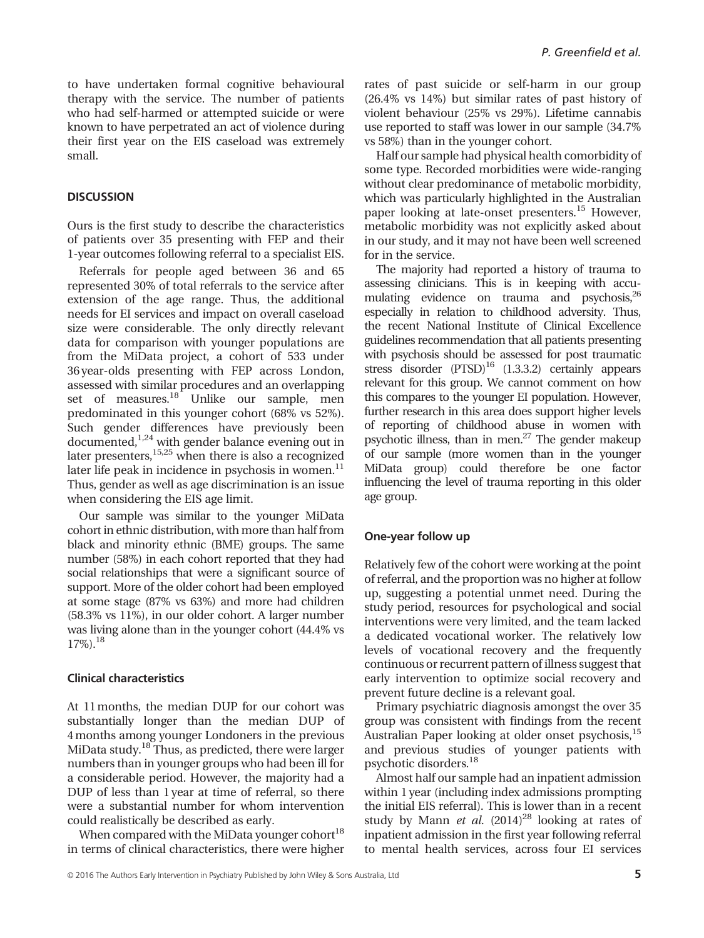to have undertaken formal cognitive behavioural therapy with the service. The number of patients who had self-harmed or attempted suicide or were known to have perpetrated an act of violence during their first year on the EIS caseload was extremely small.

## **DISCUSSION**

Ours is the first study to describe the characteristics of patients over 35 presenting with FEP and their 1-year outcomes following referral to a specialist EIS.

Referrals for people aged between 36 and 65 represented 30% of total referrals to the service after extension of the age range. Thus, the additional needs for EI services and impact on overall caseload size were considerable. The only directly relevant data for comparison with younger populations are from the MiData project, a cohort of 533 under 36 year-olds presenting with FEP across London, assessed with similar procedures and an overlapping set of measures.<sup>18</sup> Unlike our sample, men predominated in this younger cohort (68% vs 52%). Such gender differences have previously been documented, $1,24$  with gender balance evening out in later presenters, $15,25$  when there is also a recognized later life peak in incidence in psychosis in women. $^{11}$ Thus, gender as well as age discrimination is an issue when considering the EIS age limit.

Our sample was similar to the younger MiData cohort in ethnic distribution, with more than half from black and minority ethnic (BME) groups. The same number (58%) in each cohort reported that they had social relationships that were a significant source of support. More of the older cohort had been employed at some stage (87% vs 63%) and more had children (58.3% vs 11%), in our older cohort. A larger number was living alone than in the younger cohort (44.4% vs  $17\%$ ).<sup>18</sup>

## Clinical characteristics

At 11months, the median DUP for our cohort was substantially longer than the median DUP of 4months among younger Londoners in the previous MiData study.<sup>18</sup> Thus, as predicted, there were larger numbers than in younger groups who had been ill for a considerable period. However, the majority had a DUP of less than 1 year at time of referral, so there were a substantial number for whom intervention could realistically be described as early.

When compared with the MiData younger cohort<sup>18</sup> in terms of clinical characteristics, there were higher rates of past suicide or self-harm in our group (26.4% vs 14%) but similar rates of past history of violent behaviour (25% vs 29%). Lifetime cannabis use reported to staff was lower in our sample (34.7% vs 58%) than in the younger cohort.

Half our sample had physical health comorbidity of some type. Recorded morbidities were wide-ranging without clear predominance of metabolic morbidity, which was particularly highlighted in the Australian paper looking at late-onset presenters.<sup>15</sup> However, metabolic morbidity was not explicitly asked about in our study, and it may not have been well screened for in the service.

The majority had reported a history of trauma to assessing clinicians. This is in keeping with accumulating evidence on trauma and psychosis,<sup>26</sup> especially in relation to childhood adversity. Thus, the recent National Institute of Clinical Excellence guidelines recommendation that all patients presenting with psychosis should be assessed for post traumatic stress disorder  $(PTSD)^{16}$  (1.3.3.2) certainly appears relevant for this group. We cannot comment on how this compares to the younger EI population. However, further research in this area does support higher levels of reporting of childhood abuse in women with psychotic illness, than in men. $27$  The gender makeup of our sample (more women than in the younger MiData group) could therefore be one factor influencing the level of trauma reporting in this older age group.

## One-year follow up

Relatively few of the cohort were working at the point of referral, and the proportion was no higher at follow up, suggesting a potential unmet need. During the study period, resources for psychological and social interventions were very limited, and the team lacked a dedicated vocational worker. The relatively low levels of vocational recovery and the frequently continuous or recurrent pattern of illness suggest that early intervention to optimize social recovery and prevent future decline is a relevant goal.

Primary psychiatric diagnosis amongst the over 35 group was consistent with findings from the recent Australian Paper looking at older onset psychosis,<sup>15</sup> and previous studies of younger patients with psychotic disorders.18

Almost half our sample had an inpatient admission within 1 year (including index admissions prompting the initial EIS referral). This is lower than in a recent study by Mann et al.  $(2014)^{28}$  looking at rates of inpatient admission in the first year following referral to mental health services, across four EI services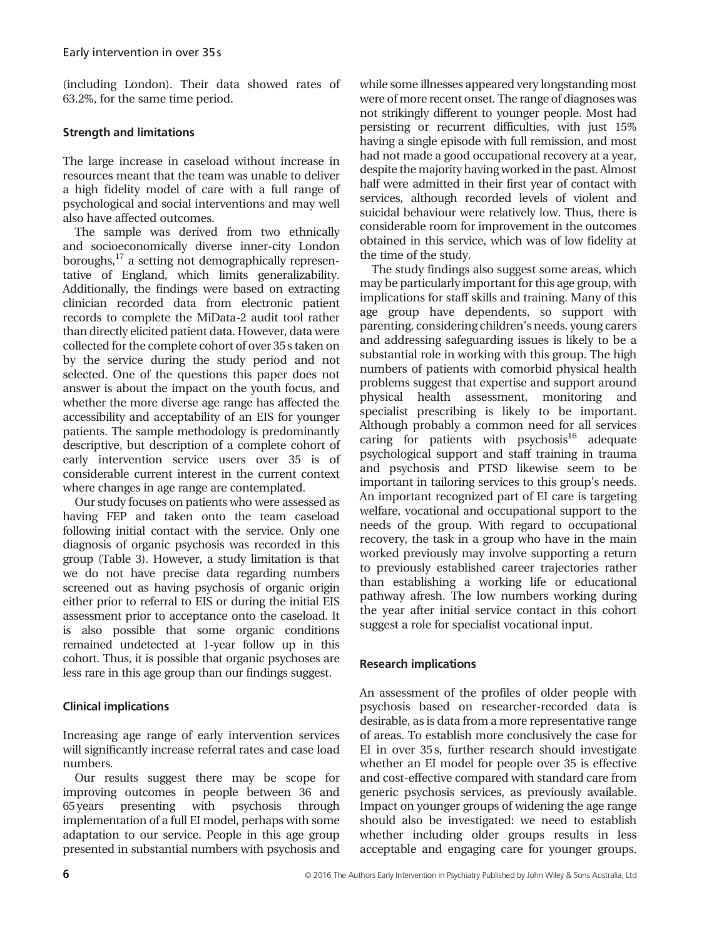(including London). Their data showed rates of 63.2%, for the same time period.

## Strength and limitations

The large increase in caseload without increase in resources meant that the team was unable to deliver a high fidelity model of care with a full range of psychological and social interventions and may well also have affected outcomes.

The sample was derived from two ethnically and socioeconomically diverse inner-city London boroughs, $^{17}$  a setting not demographically representative of England, which limits generalizability. Additionally, the findings were based on extracting clinician recorded data from electronic patient records to complete the MiData-2 audit tool rather than directly elicited patient data. However, data were collected for the complete cohort of over 35 s taken on by the service during the study period and not selected. One of the questions this paper does not answer is about the impact on the youth focus, and whether the more diverse age range has affected the accessibility and acceptability of an EIS for younger patients. The sample methodology is predominantly descriptive, but description of a complete cohort of early intervention service users over 35 is of considerable current interest in the current context where changes in age range are contemplated.

Our study focuses on patients who were assessed as having FEP and taken onto the team caseload following initial contact with the service. Only one diagnosis of organic psychosis was recorded in this group (Table 3). However, a study limitation is that we do not have precise data regarding numbers screened out as having psychosis of organic origin either prior to referral to EIS or during the initial EIS assessment prior to acceptance onto the caseload. It is also possible that some organic conditions remained undetected at 1-year follow up in this cohort. Thus, it is possible that organic psychoses are less rare in this age group than our findings suggest.

# Clinical implications

Increasing age range of early intervention services will significantly increase referral rates and case load numbers.

Our results suggest there may be scope for improving outcomes in people between 36 and 65 years presenting with psychosis through implementation of a full EI model, perhaps with some adaptation to our service. People in this age group presented in substantial numbers with psychosis and while some illnesses appeared very longstanding most were of more recent onset. The range of diagnoses was not strikingly different to younger people. Most had persisting or recurrent difficulties, with just 15% having a single episode with full remission, and most had not made a good occupational recovery at a year, despite the majority having worked in the past. Almost half were admitted in their first year of contact with services, although recorded levels of violent and suicidal behaviour were relatively low. Thus, there is considerable room for improvement in the outcomes obtained in this service, which was of low fidelity at the time of the study.

The study findings also suggest some areas, which may be particularly important for this age group, with implications for staff skills and training. Many of this age group have dependents, so support with parenting, considering children's needs, young carers and addressing safeguarding issues is likely to be a substantial role in working with this group. The high numbers of patients with comorbid physical health problems suggest that expertise and support around physical health assessment, monitoring and specialist prescribing is likely to be important. Although probably a common need for all services caring for patients with  $p$ sychosis<sup>16</sup> adequate psychological support and staff training in trauma and psychosis and PTSD likewise seem to be important in tailoring services to this group's needs. An important recognized part of EI care is targeting welfare, vocational and occupational support to the needs of the group. With regard to occupational recovery, the task in a group who have in the main worked previously may involve supporting a return to previously established career trajectories rather than establishing a working life or educational pathway afresh. The low numbers working during the year after initial service contact in this cohort suggest a role for specialist vocational input.

# Research implications

An assessment of the profiles of older people with psychosis based on researcher-recorded data is desirable, as is data from a more representative range of areas. To establish more conclusively the case for EI in over 35 s, further research should investigate whether an EI model for people over 35 is effective and cost-effective compared with standard care from generic psychosis services, as previously available. Impact on younger groups of widening the age range should also be investigated: we need to establish whether including older groups results in less acceptable and engaging care for younger groups.